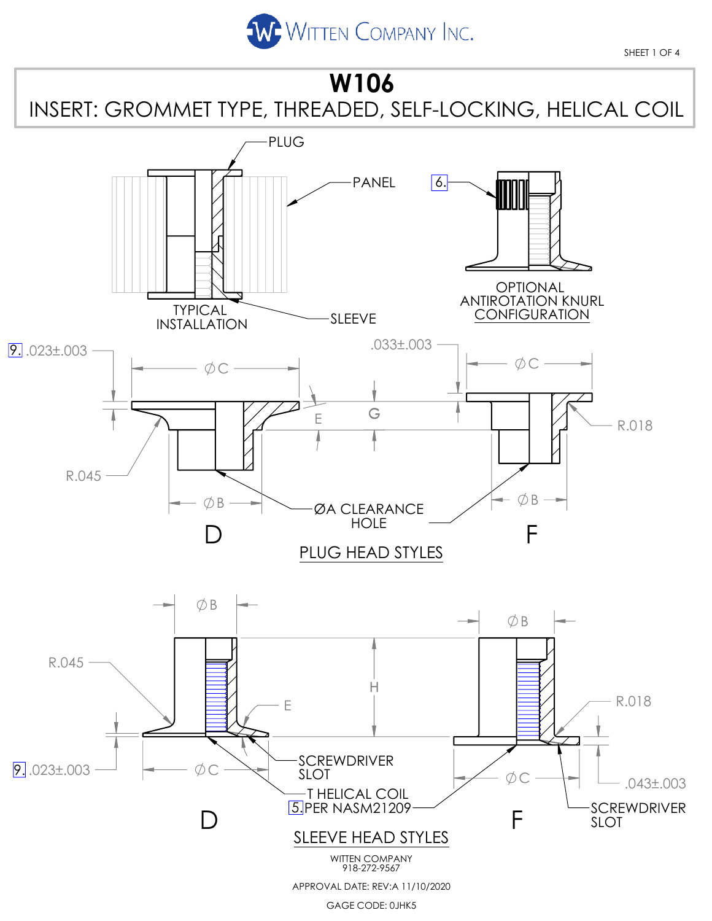

SHEET 1 OF 4



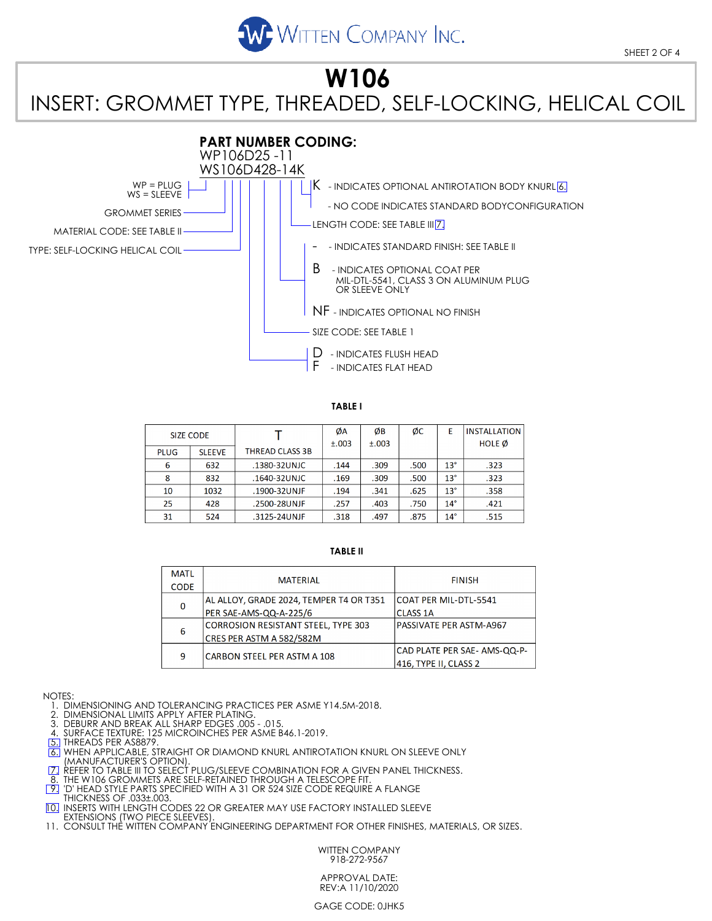

### **W106** INSERT: GROMMET TYPE, THREADED, SELF-LOCKING, HELICAL COIL



**TABLE I**

| <b>SIZE CODE</b> |               |                        | ØA<br>±.003 | ØΒ<br>±.003 | ØС   | E            | <b>INSTALLATION</b><br><b>HOLE</b> Ø |
|------------------|---------------|------------------------|-------------|-------------|------|--------------|--------------------------------------|
| <b>PLUG</b>      | <b>SLEEVE</b> | <b>THREAD CLASS 3B</b> |             |             |      |              |                                      |
| 6                | 632           | .1380-32UNJC           | .144        | .309        | .500 | $13^\circ$   | .323                                 |
| 8                | 832           | .1640-32UNJC           | .169        | .309        | .500 | $13^\circ$   | .323                                 |
| 10               | 1032          | .1900-32UNJF           | .194        | .341        | .625 | $13^\circ$   | .358                                 |
| 25               | 428           | .2500-28UNJF           | .257        | .403        | .750 | $14^{\circ}$ | .421                                 |
| 31               | 524           | .3125-24UNJF           | .318        | .497        | .875 | $14^{\circ}$ | .515                                 |

#### **TABLE II**

| <b>MATL</b> |                                         |                              |
|-------------|-----------------------------------------|------------------------------|
| <b>CODE</b> | <b>MATERIAL</b>                         | <b>FINISH</b>                |
|             | AL ALLOY, GRADE 2024, TEMPER T4 OR T351 | ICOAT PER MIL-DTL-5541       |
| 0           | PER SAE-AMS-QQ-A-225/6                  | <b>CLASS 1A</b>              |
| 6           | CORROSION RESISTANT STEEL, TYPE 303     | PASSIVATE PER ASTM-A967      |
|             | CRES PER ASTM A 582/582M                |                              |
| 9           | <b>CARBON STEEL PER ASTM A 108</b>      | CAD PLATE PER SAE- AMS-QQ-P- |
|             |                                         | 416, TYPE II, CLASS 2        |

NOTES:

1. DIMENSIONING AND TOLERANCING PRACTICES PER ASME Y14.5M-2018.

2. DIMENSIONAL LIMITS APPLY AFTER PLATING.

3. DEBURR AND BREAK ALL SHARP EDGES .005 - .015.

4. SURFACE TEXTURE: 125 MICROINCHES PER ASME B46.1-2019.<br>[<mark>5.</mark>] THREADS PER AS8879.

**6.** WHEN APPLICABLE, STRAIGHT OR DIAMOND KNURL ANTIROTATION KNURL ON SLEEVE ONLY

(MANUFACTURER'S OPTION).<br>[<u>7.]</u> REFER TO TABLE III TO SELECT PLUG/SLEEVE COMBINATION FOR A GIVEN PANEL THICKNESS.

THE W106 GROMMETS ARE SELF-RETAINED THROUGH A TELESCOPE FIT.

 9. 'D' HEAD STYLE PARTS SPECIFIED WITH A 31 OR 524 SIZE CODE REQUIRE A FLANGE THICKNESS OF .033±.003.

10. INSERTS WITH LENGTH CODES 22 OR GREATER MAY USE FACTORY INSTALLED SLEEVE

EXTENSIONS (TWO PIECE SLEEVES). 11. CONSULT THE WITTEN COMPANY ENGINEERING DEPARTMENT FOR OTHER FINISHES, MATERIALS, OR SIZES.

WITTEN COMPANY 918-272-9567

APPROVAL DATE: REV:A 11/10/2020

GAGE CODE: 0JHK5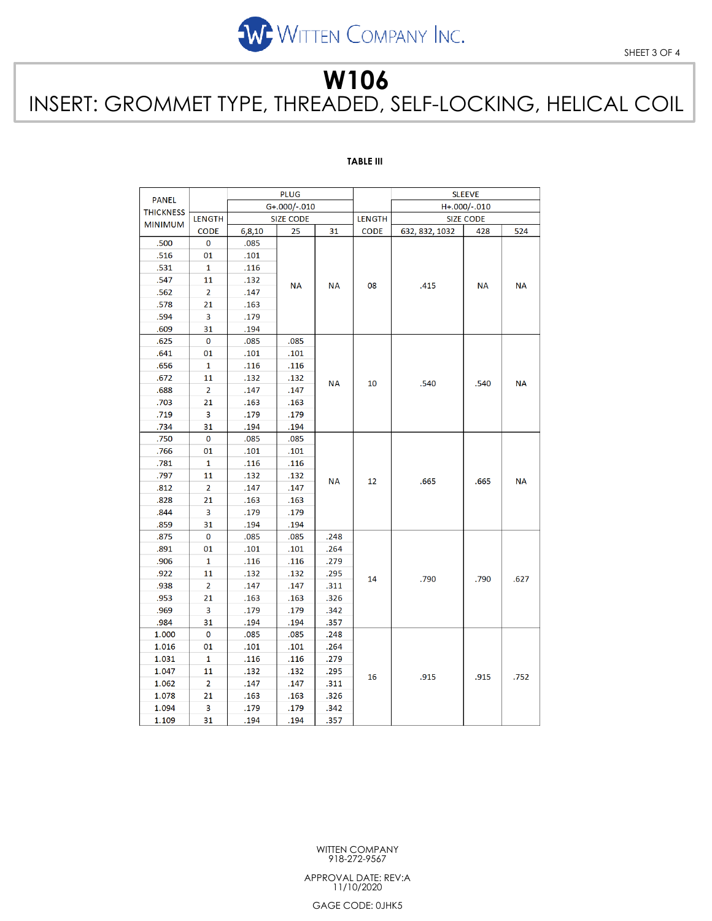

## **W106** INSERT: GROMMET TYPE, THREADED, SELF-LOCKING, HELICAL COIL

### **TABLE III**

|                  | <b>PLUG</b>    |                  |           |               |                  | <b>SLEEVE</b>  |           |           |
|------------------|----------------|------------------|-----------|---------------|------------------|----------------|-----------|-----------|
| <b>PANEL</b>     |                | G+.000/-.010     |           |               |                  | H+.000/-.010   |           |           |
| <b>THICKNESS</b> | <b>LENGTH</b>  | <b>SIZE CODE</b> |           | <b>LENGTH</b> | <b>SIZE CODE</b> |                |           |           |
| <b>MINIMUM</b>   | <b>CODE</b>    | 6,8,10           | 25        | 31            | <b>CODE</b>      | 632, 832, 1032 | 428       | 524       |
| .500             | $\mathbf 0$    | .085             |           | <b>NA</b>     |                  | .415           |           | <b>NA</b> |
| .516             | 01             | .101             |           |               |                  |                |           |           |
| .531             | 1              | .116             |           |               |                  |                |           |           |
| .547             | 11             | .132             | <b>NA</b> |               | 08               |                | <b>NA</b> |           |
| .562             | $\overline{2}$ | .147             |           |               |                  |                |           |           |
| .578             | 21             | .163             |           |               |                  |                |           |           |
| .594             | 3              | .179             |           |               |                  |                |           |           |
| .609             | 31             | .194             |           |               |                  |                |           |           |
| .625             | 0              | .085             | .085      | <b>NA</b>     | 10               | .540           | .540      | <b>NA</b> |
| .641             | 01             | .101             | .101      |               |                  |                |           |           |
| .656             | 1              | .116             | .116      |               |                  |                |           |           |
| .672             | 11             | .132             | .132      |               |                  |                |           |           |
| .688             | $\overline{2}$ | .147             | .147      |               |                  |                |           |           |
| .703             | 21             | .163             | .163      |               |                  |                |           |           |
| .719             | 3              | .179             | .179      |               |                  |                |           |           |
| .734             | 31             | .194             | .194      |               |                  |                |           |           |
| .750             | $\mathbf 0$    | .085             | .085      |               |                  | .665           | .665      | <b>NA</b> |
| .766             | 01             | .101             | .101      | <b>NA</b>     |                  |                |           |           |
| .781             | 1              | .116             | .116      |               | 12               |                |           |           |
| .797             | 11             | .132             | .132      |               |                  |                |           |           |
| .812             | 2              | .147             | .147      |               |                  |                |           |           |
| .828             | 21             | .163             | .163      |               |                  |                |           |           |
| .844             | 3              | .179             | .179      |               |                  |                |           |           |
| .859             | 31             | .194             | .194      |               |                  |                |           |           |
| .875             | 0              | .085             | .085      | .248          |                  | .790           | .790      | .627      |
| .891             | 01             | .101             | .101      | .264          |                  |                |           |           |
| .906             | 1              | .116             | .116      | .279          |                  |                |           |           |
| .922             | 11             | .132             | .132      | .295          | 14               |                |           |           |
| .938             | $\overline{2}$ | .147             | .147      | .311          |                  |                |           |           |
| .953             | 21             | .163             | .163      | .326          |                  |                |           |           |
| .969             | 3              | .179             | .179      | .342          |                  |                |           |           |
| .984             | 31             | .194             | .194      | .357          |                  |                |           |           |
| 1.000            | 0              | .085             | .085      | .248          |                  | .915           |           | .752      |
| 1.016            | 01             | .101             | .101      | .264          |                  |                |           |           |
| 1.031            | 1              | .116             | .116      | .279          | 16               |                |           |           |
| 1.047            | 11             | .132             | .132      | .295          |                  |                | .915      |           |
| 1.062            | $\overline{2}$ | .147             | .147      | .311          |                  |                |           |           |
| 1.078            | 21             | .163             | .163      | .326          |                  |                |           |           |
| 1.094            | 3              | .179             | .179      | .342          |                  |                |           |           |
| 1.109            | 31             | .194             | .194      | .357          |                  |                |           |           |

WITTEN COMPANY 918-272-9567

APPROVAL DATE: REV:A 11/10/2020

GAGE CODE: 0JHK5